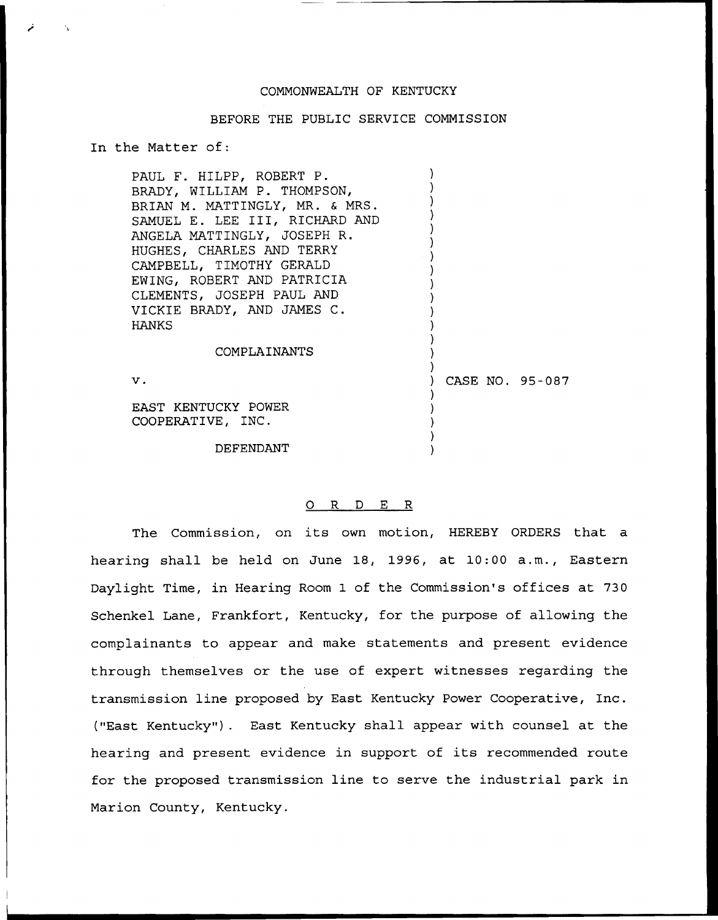# COMMONWEALTH OF KENTUCKY

## BEFORE THE PUBLIC SERVICE COMMISSION

) ) ) ) ) ) ) ) ) ) ) ) ) ) )

) ) ) )

# In the Matter of:

 $\epsilon$  1

PAUL F. HILPP, ROBERT P. BRADY, WILLIAM P. THOMPSON, BRIAN M. MATTINGLY, MR. & MRS. SAMUEL E. LEE III, RICHARD AND ANGELA MATTINGLY, JOSEPH R. HUGHES, CHARLES AND TERRY CAMPBELL, TIMOTHY GERALD EWING, ROBERT AND PATRICIA CLEMENTS, JOSEPH PAUL AND VICKIE BRADY, AND JAMES C. HANKS

#### COMPLAINANTS

 $\mathbf v$ .

) CASE NO. 95 —087 )

EAST KENTUCKY POWER COOPERATIVE, INC.

DEFENDANT

## 0 R <sup>D</sup> E R

The Commission, on its own motion, HEREBY ORDERS that <sup>a</sup> hearing shall be held on June 18, 1996, at 10:00 a.m., Eastern Daylight Time, in Hearing Room 1 of the Commission's offices at 730 Schenkel Lane, Frankfort, Kentucky, for the purpose of allowing the complainants to appear and make statements and present evidence through themselves or the use of expert witnesses regarding the transmission line proposed by East Kentucky Power Cooperative, Inc. ("East Kentucky"). East Kentucky shall appear with counsel at the hearing and present evidence in support of its recommended route for the proposed transmission line to serve the industrial park in Marion County, Kentucky.